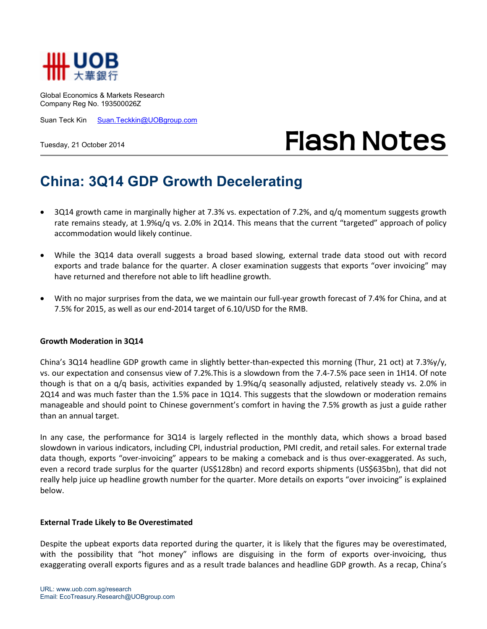

Global Economics & Markets Research Company Reg No. 193500026Z

Suan Teck Kin Suan.Teckkin@UOBgroup.com

Tuesday, 21 October 2014

# **Flash Notes**

## **China: 3Q14 GDP Growth Decelerating**

- 3Q14 growth came in marginally higher at 7.3% vs. expectation of 7.2%, and q/q momentum suggests growth rate remains steady, at 1.9%q/q vs. 2.0% in 2Q14. This means that the current "targeted" approach of policy accommodation would likely continue.
- While the 3Q14 data overall suggests a broad based slowing, external trade data stood out with record exports and trade balance for the quarter. A closer examination suggests that exports "over invoicing" may have returned and therefore not able to lift headline growth.
- With no major surprises from the data, we we maintain our full-year growth forecast of 7.4% for China, and at 7.5% for 2015, as well as our end-2014 target of 6.10/USD for the RMB.

#### **Growth Moderation in 3Q14**

China's 3Q14 headline GDP growth came in slightly better-than-expected this morning (Thur, 21 oct) at 7.3%y/y, vs. our expectation and consensus view of 7.2%.This is a slowdown from the 7.4-7.5% pace seen in 1H14. Of note though is that on a q/q basis, activities expanded by 1.9%q/q seasonally adjusted, relatively steady vs. 2.0% in 2Q14 and was much faster than the 1.5% pace in 1Q14. This suggests that the slowdown or moderation remains manageable and should point to Chinese government's comfort in having the 7.5% growth as just a guide rather than an annual target.

In any case, the performance for 3Q14 is largely reflected in the monthly data, which shows a broad based slowdown in various indicators, including CPI, industrial production, PMI credit, and retail sales. For external trade data though, exports "over-invoicing" appears to be making a comeback and is thus over-exaggerated. As such, even a record trade surplus for the quarter (US\$128bn) and record exports shipments (US\$635bn), that did not really help juice up headline growth number for the quarter. More details on exports "over invoicing" is explained below.

#### **External Trade Likely to Be Overestimated**

Despite the upbeat exports data reported during the quarter, it is likely that the figures may be overestimated, with the possibility that "hot money" inflows are disguising in the form of exports over-invoicing, thus exaggerating overall exports figures and as a result trade balances and headline GDP growth. As a recap, China's